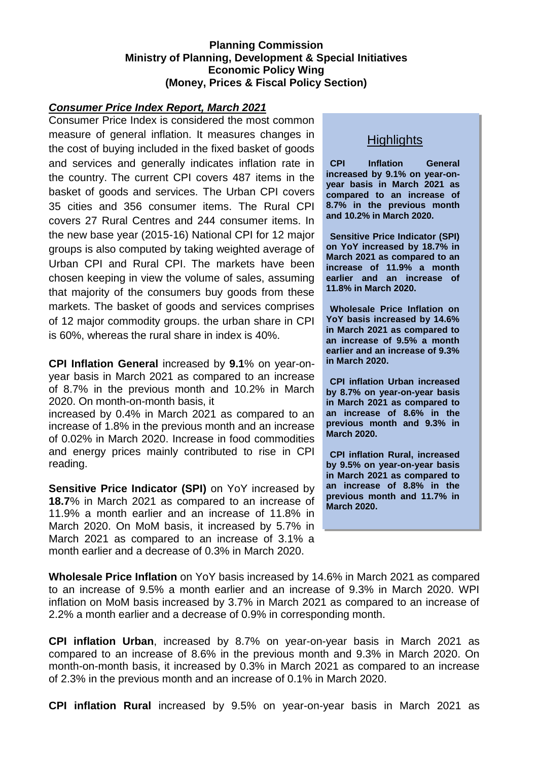### **Planning Commission Ministry of Planning, Development & Special Initiatives Economic Policy Wing (Money, Prices & Fiscal Policy Section)**

#### *Consumer Price Index Report, March 2021*

Consumer Price Index is considered the most common measure of general inflation. It measures changes in the cost of buying included in the fixed basket of goods and services and generally indicates inflation rate in the country. The current CPI covers 487 items in the basket of goods and services. The Urban CPI covers 35 cities and 356 consumer items. The Rural CPI covers 27 Rural Centres and 244 consumer items. In the new base year (2015-16) National CPI for 12 major groups is also computed by taking weighted average of Urban CPI and Rural CPI. The markets have been chosen keeping in view the volume of sales, assuming that majority of the consumers buy goods from these markets. The basket of goods and services comprises of 12 major commodity groups. the urban share in CPI is 60%, whereas the rural share in index is 40%.

**CPI Inflation General** increased by **9.1**% on year-onyear basis in March 2021 as compared to an increase of 8.7% in the previous month and 10.2% in March 2020. On month-on-month basis, it

increased by 0.4% in March 2021 as compared to an increase of 1.8% in the previous month and an increase of 0.02% in March 2020. Increase in food commodities and energy prices mainly contributed to rise in CPI reading.

**Sensitive Price Indicator (SPI)** on YoY increased by **18.7**% in March 2021 as compared to an increase of 11.9% a month earlier and an increase of 11.8% in March 2020. On MoM basis, it increased by 5.7% in March 2021 as compared to an increase of 3.1% a month earlier and a decrease of 0.3% in March 2020.

## **Highlights**

**CPI Inflation General increased by 9.1% on year-onyear basis in March 2021 as compared to an increase of 8.7% in the previous month and 10.2% in March 2020.** 

**Sensitive Price Indicator (SPI) on YoY increased by 18.7% in March 2021 as compared to an increase of 11.9% a month earlier and an increase of 11.8% in March 2020.**

**Wholesale Price Inflation on YoY basis increased by 14.6% in March 2021 as compared to an increase of 9.5% a month earlier and an increase of 9.3% in March 2020.**

**CPI inflation Urban increased by 8.7% on year-on-year basis in March 2021 as compared to an increase of 8.6% in the previous month and 9.3% in March 2020.**

**CPI inflation Rural, increased by 9.5% on year-on-year basis in March 2021 as compared to an increase of 8.8% in the previous month and 11.7% in March 2020.**

**Wholesale Price Inflation** on YoY basis increased by 14.6% in March 2021 as compared to an increase of 9.5% a month earlier and an increase of 9.3% in March 2020. WPI inflation on MoM basis increased by 3.7% in March 2021 as compared to an increase of 2.2% a month earlier and a decrease of 0.9% in corresponding month.

**CPI inflation Urban**, increased by 8.7% on year-on-year basis in March 2021 as compared to an increase of 8.6% in the previous month and 9.3% in March 2020. On month-on-month basis, it increased by 0.3% in March 2021 as compared to an increase of 2.3% in the previous month and an increase of 0.1% in March 2020.

**CPI inflation Rural** increased by 9.5% on year-on-year basis in March 2021 as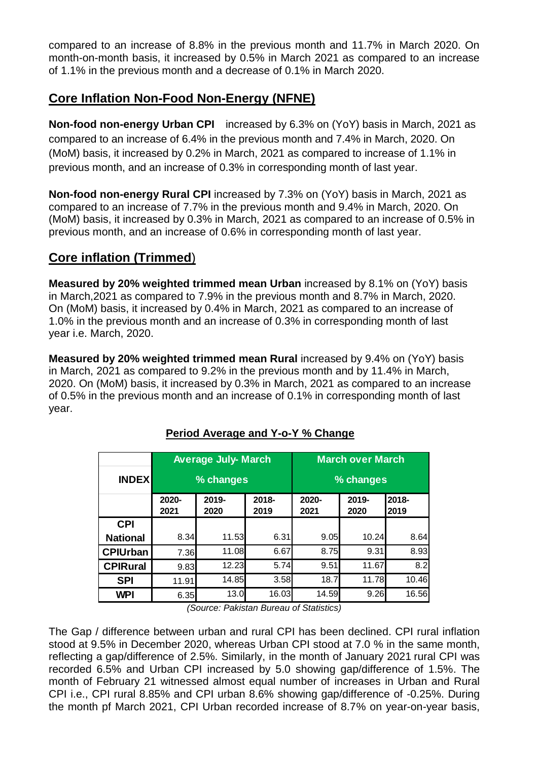compared to an increase of 8.8% in the previous month and 11.7% in March 2020. On month-on-month basis, it increased by 0.5% in March 2021 as compared to an increase of 1.1% in the previous month and a decrease of 0.1% in March 2020.

# **Core Inflation Non-Food Non-Energy (NFNE)**

**Non-food non-energy Urban CPI** increased by 6.3% on (YoY) basis in March, 2021 as compared to an increase of 6.4% in the previous month and 7.4% in March, 2020. On (MoM) basis, it increased by 0.2% in March, 2021 as compared to increase of 1.1% in previous month, and an increase of 0.3% in corresponding month of last year.

**Non-food non-energy Rural CPI** increased by 7.3% on (YoY) basis in March, 2021 as compared to an increase of 7.7% in the previous month and 9.4% in March, 2020. On (MoM) basis, it increased by 0.3% in March, 2021 as compared to an increase of 0.5% in previous month, and an increase of 0.6% in corresponding month of last year.

## **Core inflation (Trimmed**)

**Measured by 20% weighted trimmed mean Urban** increased by 8.1% on (YoY) basis in March,2021 as compared to 7.9% in the previous month and 8.7% in March, 2020. On (MoM) basis, it increased by 0.4% in March, 2021 as compared to an increase of 1.0% in the previous month and an increase of 0.3% in corresponding month of last year i.e. March, 2020.

**Measured by 20% weighted trimmed mean Rural** increased by 9.4% on (YoY) basis in March, 2021 as compared to 9.2% in the previous month and by 11.4% in March, 2020. On (MoM) basis, it increased by 0.3% in March, 2021 as compared to an increase of 0.5% in the previous month and an increase of 0.1% in corresponding month of last year.

|                                                                                                                                                                                                                                                                                                                                                                                                                                                                                                                                             |               | <b>Average July- March</b> |               | <b>March over March</b><br>% changes |               |               |  |  |  |  |  |
|---------------------------------------------------------------------------------------------------------------------------------------------------------------------------------------------------------------------------------------------------------------------------------------------------------------------------------------------------------------------------------------------------------------------------------------------------------------------------------------------------------------------------------------------|---------------|----------------------------|---------------|--------------------------------------|---------------|---------------|--|--|--|--|--|
| <b>INDEX</b>                                                                                                                                                                                                                                                                                                                                                                                                                                                                                                                                |               | % changes                  |               |                                      |               |               |  |  |  |  |  |
|                                                                                                                                                                                                                                                                                                                                                                                                                                                                                                                                             | 2020-<br>2021 | 2019-<br>2020              | 2018-<br>2019 | 2020-<br>2021                        | 2019-<br>2020 | 2018-<br>2019 |  |  |  |  |  |
| <b>CPI</b>                                                                                                                                                                                                                                                                                                                                                                                                                                                                                                                                  |               |                            |               |                                      |               |               |  |  |  |  |  |
| <b>National</b>                                                                                                                                                                                                                                                                                                                                                                                                                                                                                                                             | 8.34          | 11.53                      | 6.31          | 9.05                                 | 10.24         | 8.64          |  |  |  |  |  |
| <b>CPIUrban</b>                                                                                                                                                                                                                                                                                                                                                                                                                                                                                                                             | 7.36          | 11.08                      | 6.67          | 8.75                                 | 9.31          | 8.93          |  |  |  |  |  |
| <b>CPIRural</b>                                                                                                                                                                                                                                                                                                                                                                                                                                                                                                                             | 9.83          | 12.23                      | 5.74          | 9.51                                 | 11.67         | 8.2           |  |  |  |  |  |
| <b>SPI</b>                                                                                                                                                                                                                                                                                                                                                                                                                                                                                                                                  | 11.91         | 14.85                      | 3.58          | 18.7                                 | 11.78         | 10.46         |  |  |  |  |  |
| WPI                                                                                                                                                                                                                                                                                                                                                                                                                                                                                                                                         | 6.35          | 13.0                       | 16.03         | 14.59                                | 9.26          | 16.56         |  |  |  |  |  |
| (Source: Pakistan Bureau of Statistics)<br>The Gap / difference between urban and rural CPI has been declined. CPI rural inflation                                                                                                                                                                                                                                                                                                                                                                                                          |               |                            |               |                                      |               |               |  |  |  |  |  |
| stood at 9.5% in December 2020, whereas Urban CPI stood at 7.0 % in the same month,<br>reflecting a gap/difference of 2.5%. Similarly, in the month of January 2021 rural CPI was<br>recorded 6.5% and Urban CPI increased by 5.0 showing gap/difference of 1.5%. The<br>month of February 21 witnessed almost equal number of increases in Urban and Rural<br>CPI i.e., CPI rural 8.85% and CPI urban 8.6% showing gap/difference of -0.25%. During<br>the month pf March 2021, CPI Urban recorded increase of 8.7% on year-on-year basis, |               |                            |               |                                      |               |               |  |  |  |  |  |

## **Period Average and Y-o-Y % Change**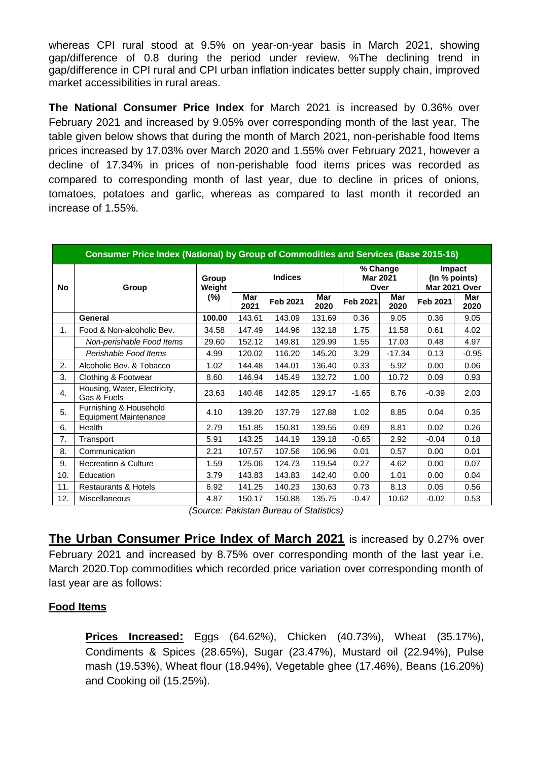whereas CPI rural stood at 9.5% on year-on-year basis in March 2021, showing gap/difference of 0.8 during the period under review. %The declining trend in gap/difference in CPI rural and CPI urban inflation indicates better supply chain, improved market accessibilities in rural areas.

**The National Consumer Price Index** fo**r** March 2021 is increased by 0.36% over February 2021 and increased by 9.05% over corresponding month of the last year. The table given below shows that during the month of March 2021, non-perishable food Items prices increased by 17.03% over March 2020 and 1.55% over February 2021, however a decline of 17.34% in prices of non-perishable food items prices was recorded as compared to corresponding month of last year, due to decline in prices of onions, tomatoes, potatoes and garlic, whereas as compared to last month it recorded an increase of 1.55%.

| Consumer Price Index (National) by Group of Commodities and Services (Base 2015-16) |                                                        |                 |                    |                                                                |                    |                                     |             |                                                 |             |  |  |  |  |  |
|-------------------------------------------------------------------------------------|--------------------------------------------------------|-----------------|--------------------|----------------------------------------------------------------|--------------------|-------------------------------------|-------------|-------------------------------------------------|-------------|--|--|--|--|--|
| <b>No</b>                                                                           | Group                                                  | Group<br>Weight |                    | <b>Indices</b>                                                 |                    | % Change<br><b>Mar 2021</b><br>Over |             | <b>Impact</b><br>(In % points)<br>Mar 2021 Over |             |  |  |  |  |  |
|                                                                                     |                                                        | $(\%)$          | <b>Mar</b><br>2021 | Feb 2021                                                       | <b>Mar</b><br>2020 | Feb 2021                            | Mar<br>2020 | Feb 2021                                        | Mar<br>2020 |  |  |  |  |  |
|                                                                                     | General                                                | 100.00          | 143.61             | 143.09                                                         | 131.69             | 0.36                                | 9.05        | 0.36                                            | 9.05        |  |  |  |  |  |
| 1.                                                                                  | Food & Non-alcoholic Bev.                              | 34.58           | 147.49             | 144.96                                                         | 132.18             | 1.75                                | 11.58       | 0.61                                            | 4.02        |  |  |  |  |  |
|                                                                                     | Non-perishable Food Items                              | 29.60           | 152.12             | 149.81                                                         | 129.99             | 1.55                                | 17.03       | 0.48                                            | 4.97        |  |  |  |  |  |
|                                                                                     | Perishable Food Items                                  | 4.99            | 120.02             | 116.20                                                         | 145.20             | 3.29                                | $-17.34$    | 0.13                                            | $-0.95$     |  |  |  |  |  |
| 2.                                                                                  | Alcoholic Bev. & Tobacco                               | 1.02            | 144.48             | 144.01                                                         | 136.40             | 0.33                                | 5.92        | 0.00                                            | 0.06        |  |  |  |  |  |
| 3.                                                                                  | Clothing & Footwear                                    | 8.60            | 146.94             | 145.49                                                         | 132.72             | 1.00                                | 10.72       | 0.09                                            | 0.93        |  |  |  |  |  |
| 4.                                                                                  | Housing, Water, Electricity,<br>Gas & Fuels            | 23.63           | 140.48             | 142.85                                                         | 129.17             | $-1.65$                             | 8.76        | $-0.39$                                         | 2.03        |  |  |  |  |  |
| 5.                                                                                  | Furnishing & Household<br><b>Equipment Maintenance</b> | 4.10            | 139.20             | 137.79                                                         | 127.88             | 1.02                                | 8.85        | 0.04                                            | 0.35        |  |  |  |  |  |
| 6.                                                                                  | Health                                                 | 2.79            | 151.85             | 150.81                                                         | 139.55             | 0.69                                | 8.81        | 0.02                                            | 0.26        |  |  |  |  |  |
| 7.                                                                                  | Transport                                              | 5.91            | 143.25             | 144.19                                                         | 139.18             | $-0.65$                             | 2.92        | $-0.04$                                         | 0.18        |  |  |  |  |  |
| 8.                                                                                  | Communication                                          | 2.21            | 107.57             | 107.56                                                         | 106.96             | 0.01                                | 0.57        | 0.00                                            | 0.01        |  |  |  |  |  |
| 9.                                                                                  | <b>Recreation &amp; Culture</b>                        | 1.59            | 125.06             | 124.73                                                         | 119.54             | 0.27                                | 4.62        | 0.00                                            | 0.07        |  |  |  |  |  |
| 10.                                                                                 | Education                                              | 3.79            | 143.83             | 143.83                                                         | 142.40             | 0.00                                | 1.01        | 0.00                                            | 0.04        |  |  |  |  |  |
| 11.                                                                                 | <b>Restaurants &amp; Hotels</b>                        | 6.92            | 141.25             | 140.23                                                         | 130.63             | 0.73                                | 8.13        | 0.05                                            | 0.56        |  |  |  |  |  |
| 12.                                                                                 | Miscellaneous                                          | 4.87            | 150.17             | 150.88<br>$(0a)$ $maa$ , $Daliation$ $Dima$ , $af$ $Qtriation$ | 135.75             | $-0.47$                             | 10.62       | $-0.02$                                         | 0.53        |  |  |  |  |  |

*(Source: Pakistan Bureau of Statistics)*

**The Urban Consumer Price Index of March 2021** is increased by 0.27% over February 2021 and increased by 8.75% over corresponding month of the last year i.e. March 2020.Top commodities which recorded price variation over corresponding month of last year are as follows:

### **Food Items**

**Prices Increased:** Eggs (64.62%), Chicken (40.73%), Wheat (35.17%), Condiments & Spices (28.65%), Sugar (23.47%), Mustard oil (22.94%), Pulse mash (19.53%), Wheat flour (18.94%), Vegetable ghee (17.46%), Beans (16.20%) and Cooking oil (15.25%).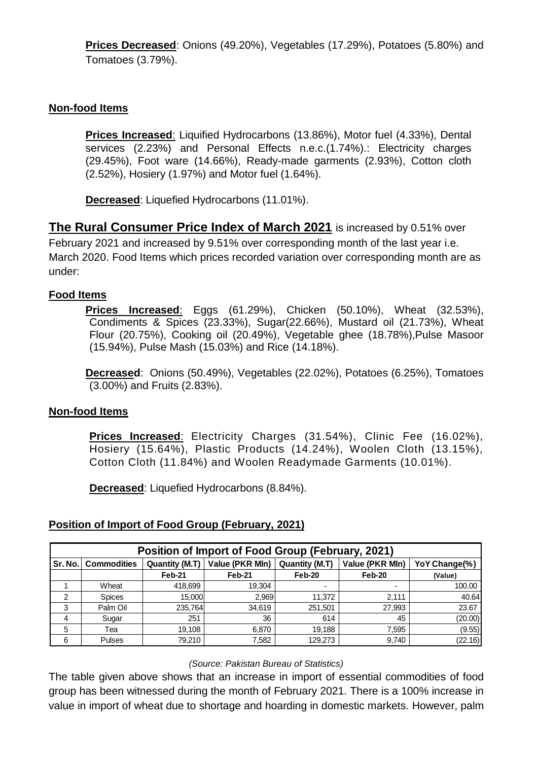**Prices Decreased**: Onions (49.20%), Vegetables (17.29%), Potatoes (5.80%) and Tomatoes (3.79%).

## **Non-food Items**

**Prices Increased**: Liquified Hydrocarbons (13.86%), Motor fuel (4.33%), Dental services (2.23%) and Personal Effects n.e.c.(1.74%).: Electricity charges (29.45%), Foot ware (14.66%), Ready-made garments (2.93%), Cotton cloth (2.52%), Hosiery (1.97%) and Motor fuel (1.64%).

**Decreased**: Liquefied Hydrocarbons (11.01%).

**The Rural Consumer Price Index of March 2021** is increased by 0.51% over February 2021 and increased by 9.51% over corresponding month of the last year i.e. March 2020. Food Items which prices recorded variation over corresponding month are as under:

### **Food Items**

**Prices Increased**: Eggs (61.29%), Chicken (50.10%), Wheat (32.53%), Condiments & Spices (23.33%), Sugar(22.66%), Mustard oil (21.73%), Wheat Flour (20.75%), Cooking oil (20.49%), Vegetable ghee (18.78%),Pulse Masoor (15.94%), Pulse Mash (15.03%) and Rice (14.18%).

**Decreased**: Onions (50.49%), Vegetables (22.02%), Potatoes (6.25%), Tomatoes (3.00%) and Fruits (2.83%).

### **Non-food Items**

**Prices Increased**: Electricity Charges (31.54%), Clinic Fee (16.02%), Hosiery (15.64%), Plastic Products (14.24%), Woolen Cloth (13.15%), Cotton Cloth (11.84%) and Woolen Readymade Garments (10.01%).

**Decreased**: Liquefied Hydrocarbons (8.84%).

## **Position of Import of Food Group (February, 2021)**

| Position of Import of Food Group (February, 2021) |                    |                |                                         |                |                 |                                                                                                                                                                                                                                                                                |  |  |  |  |  |  |
|---------------------------------------------------|--------------------|----------------|-----------------------------------------|----------------|-----------------|--------------------------------------------------------------------------------------------------------------------------------------------------------------------------------------------------------------------------------------------------------------------------------|--|--|--|--|--|--|
| Sr. No.                                           | <b>Commodities</b> | Quantity (M.T) | Value (PKR Mln)                         | Quantity (M.T) | Value (PKR Mln) | YoY Change(%)                                                                                                                                                                                                                                                                  |  |  |  |  |  |  |
|                                                   |                    | Feb-21         | Feb-21                                  | Feb-20         | Feb-20          | (Value)                                                                                                                                                                                                                                                                        |  |  |  |  |  |  |
|                                                   | Wheat              | 418,699        | 19,304                                  |                |                 | 100.00                                                                                                                                                                                                                                                                         |  |  |  |  |  |  |
| $\mathcal{P}$                                     | <b>Spices</b>      | 15,000         | 2,969                                   | 11,372         | 2,111           | 40.64                                                                                                                                                                                                                                                                          |  |  |  |  |  |  |
| 3                                                 | Palm Oil           | 235,764        | 34,619                                  | 251,501        | 27,993          | 23.67                                                                                                                                                                                                                                                                          |  |  |  |  |  |  |
| 4                                                 | Sugar              | 251            | 36                                      | 614            | 45              | (20.00)                                                                                                                                                                                                                                                                        |  |  |  |  |  |  |
| 5                                                 | Tea                | 19.108         | 6.870                                   | 19.188         | 7,595           | (9.55)                                                                                                                                                                                                                                                                         |  |  |  |  |  |  |
| 6                                                 | Pulses             | 79,210         | 7,582                                   | 129,273        | 9,740           | (22.16)                                                                                                                                                                                                                                                                        |  |  |  |  |  |  |
|                                                   |                    |                | (Source: Pakistan Bureau of Statistics) |                |                 | The table given above shows that an increase in import of essential commodities of food<br>group has been witnessed during the month of February 2021. There is a 100% increase in<br>value in import of wheat due to shortage and hoarding in domestic markets. However, palm |  |  |  |  |  |  |

#### *(Source: Pakistan Bureau of Statistics)*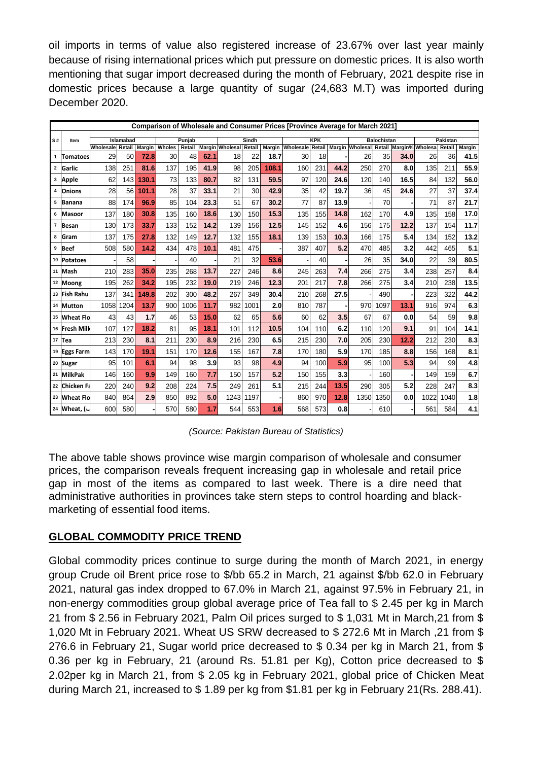oil imports in terms of value also registered increase of 23.67% over last year mainly because of rising international prices which put pressure on domestic prices. It is also worth mentioning that sugar import decreased during the month of February, 2021 despite rise in domestic prices because a large quantity of sugar (24,683 M.T) was imported during December 2020.

| Comparison of Wholesale and Consumer Prices [Province Average for March 2021] |                   |                         |        |       |        |        |      |                        |      |                    |                                                                |     |          |            |          |      |      |                 |               |
|-------------------------------------------------------------------------------|-------------------|-------------------------|--------|-------|--------|--------|------|------------------------|------|--------------------|----------------------------------------------------------------|-----|----------|------------|----------|------|------|-----------------|---------------|
| S#                                                                            | Item              | Islamabad               | Punjab |       |        | Sindh  |      | <b>KPK</b>             |      | <b>Balochistan</b> |                                                                |     | Pakistan |            |          |      |      |                 |               |
|                                                                               |                   | Wholesale Retail Margin |        |       | Wholes | Retail |      | Margin Wholesal Retail |      |                    | Margin Wholesale Retail Margin Wholesal Retail Margin% Wholesa |     |          |            |          |      |      | Retail          | <b>Margin</b> |
| $\mathbf{1}$                                                                  | Tomatoes          | 29                      | 50     | 72.8  | 30     | 48     | 62.1 | 18                     | 22   | 18.7               | 30                                                             | 18  |          | 26         | 35       | 34.0 | 26   | 36 <sup>1</sup> | 41.5          |
|                                                                               | 2 Garlic          | 138                     | 251    | 81.6  | 137    | 195    | 41.9 | 98                     | 205  | 108.1              | 160                                                            | 231 | 44.2     | 250        | 270      | 8.0  | 135  | 211             | 55.9          |
|                                                                               | 3 Apple           | 62                      | 143    | 130.1 | 73     | 133    | 80.7 | 82                     | 131  | 59.5               | 97                                                             | 120 | 24.6     | 120        | 140      | 16.5 | 84   | 132             | 56.0          |
| 4                                                                             | <b>Onions</b>     | 28                      | 56     | 101.1 | 28     | 37     | 33.1 | 21                     | 30   | 42.9               | 35                                                             | 42  | 19.7     | 36         | 45       | 24.6 | 27   | 37              | 37.4          |
| 5                                                                             | Banana            | 88                      | 174    | 96.9  | 85     | 104    | 23.3 | 51                     | 67   | 30.2               | 77                                                             | 87  | 13.9     |            | 70       |      | 71   | 87              | 21.7          |
| 6                                                                             | <b>Masoor</b>     | 137                     | 180    | 30.8  | 135    | 160    | 18.6 | 130                    | 150  | 15.3               | 135                                                            | 155 | 14.8     | 162        | 170      | 4.9  | 135  | 158             | 17.0          |
| 7                                                                             | Besan             | 130                     | 173    | 33.7  | 133    | 152    | 14.2 | 139                    | 156  | 12.5               | 145                                                            | 152 | 4.6      | 156        | 175      | 12.2 | 137  | 154             | 11.7          |
| 8                                                                             | Gram              | 137                     | 175    | 27.8  | 132    | 149    | 12.7 | 132                    | 155  | 18.1               | 139                                                            | 153 | 10.3     | 166        | 175      | 5.4  | 134  | 152             | 13.2          |
|                                                                               | <sup>9</sup> Beef | 508                     | 580    | 14.2  | 434    | 478    | 10.1 | 481                    | 475  |                    | 387                                                            | 407 | 5.2      | 470        | 485      | 3.2  | 442  | 465             | 5.1           |
|                                                                               | 10 Potatoes       |                         | 58     |       |        | 40     |      | 21                     | 32   | 53.6               |                                                                | 40  |          | 26         | 35       | 34.0 | 22   | 39              | 80.5          |
|                                                                               | 11 Mash           | 210                     | 283    | 35.0  | 235    | 268    | 13.7 | 227                    | 246  | 8.6                | 245                                                            | 263 | 7.4      | 266        | 275      | 3.4  | 238  | 257             | 8.4           |
|                                                                               | 12 Moong          | 195                     | 262    | 34.2  | 195    | 232    | 19.0 | 219                    | 246  | 12.3               | 201                                                            | 217 | 7.8      | 266        | 275      | 3.4  | 210  | 238             | 13.5          |
|                                                                               | 13 Fish Rahu      | 137                     | 341    | 149.8 | 202    | 300    | 48.2 | 267                    | 349  | 30.4               | 210                                                            | 268 | 27.5     |            | 490      |      | 223  | 322             | 44.2          |
|                                                                               | 14 Mutton         | 1058                    | 1204   | 13.7  | 900    | 1006   | 11.7 | 982                    | 1001 | 2.0                | 810                                                            | 787 |          | 970        | 1097     | 13.1 | 916  | 974             | 6.3           |
|                                                                               | 15 Wheat Fld      | 43                      | 43     | 1.7   | 46     | 53     | 15.0 | 62                     | 65   | 5.6                | 60                                                             | 62  | 3.5      | 67         | 67       | 0.0  | 54   | 59              | 9.8           |
|                                                                               | 16 Fresh Milk     | 107                     | 127    | 18.2  | 81     | 95     | 18.1 | 101                    | 112  | 10.5               | 104                                                            | 110 | 6.2      | <b>110</b> | 120      | 9.1  | 91   | 104             | 14.1          |
|                                                                               | $17$ Tea          | 213                     | 230    | 8.1   | 211    | 230    | 8.9  | 216                    | 230  | 6.5                | 215                                                            | 230 | 7.0      | 205        | 230      | 12.2 | 212  | 230             | 8.3           |
|                                                                               | 19 Eggs Farm      | 143                     | 170    | 19.1  | 151    | 170    | 12.6 | 155                    | 167  | 7.8                | 170                                                            | 180 | 5.9      | 170        | 185      | 8.8  | 156  | 168             | 8.1           |
|                                                                               | 20 Sugar          | 95                      | 101    | 6.1   | 94     | 98     | 3.9  | 93                     | 98   | 4.9                | 94                                                             | 100 | 5.9      | 95         | 100      | 5.3  | 94   | 99              | 4.8           |
|                                                                               | 21 MilkPak        | 146                     | 160    | 9.9   | 149    | 160    | 7.7  | 150                    | 157  | 5.2                | 150                                                            | 155 | 3.3      |            | 160      |      | 149  | 159             | 6.7           |
|                                                                               | 22 Chicken Fa     | 220                     | 240    | 9.2   | 208    | 224    | 7.5  | 249                    | 261  | 5.1                | 215                                                            | 244 | 13.5     | 290        | 305      | 5.2  | 228  | 247             | 8.3           |
|                                                                               | 23 Wheat Flo      | 840                     | 864    | 2.9   | 850    | 892    | 5.0  | 1243                   | 1197 |                    | 860                                                            | 970 | 12.8     | 1350       | 350<br>1 | 0.0  | 1022 | 1040            | 1.8           |
|                                                                               | 24 Wheat, (Av     | 600                     | 580    |       | 570    | 580    | 1.7  | 544                    | 553  | 1.6                | 568                                                            | 573 | 0.8      |            | 610      |      | 561  | 584             | 4.1           |

*(Source: Pakistan Bureau of Statistics)*

The above table shows province wise margin comparison of wholesale and consumer prices, the comparison reveals frequent increasing gap in wholesale and retail price gap in most of the items as compared to last week. There is a dire need that administrative authorities in provinces take stern steps to control hoarding and blackmarketing of essential food items.

## **GLOBAL COMMODITY PRICE TREND**

Global commodity prices continue to surge during the month of March 2021, in energy group Crude oil Brent price rose to \$/bb 65.2 in March, 21 against \$/bb 62.0 in February 2021, natural gas index dropped to 67.0% in March 21, against 97.5% in February 21, in non-energy commodities group global average price of Tea fall to \$ 2.45 per kg in March 21 from \$ 2.56 in February 2021, Palm Oil prices surged to \$ 1,031 Mt in March,21 from \$ 1,020 Mt in February 2021. Wheat US SRW decreased to \$ 272.6 Mt in March ,21 from \$ 276.6 in February 21, Sugar world price decreased to \$ 0.34 per kg in March 21, from \$ 0.36 per kg in February, 21 (around Rs. 51.81 per Kg), Cotton price decreased to \$ 2.02per kg in March 21, from \$ 2.05 kg in February 2021, global price of Chicken Meat during March 21, increased to \$ 1.89 per kg from \$1.81 per kg in February 21(Rs. 288.41).